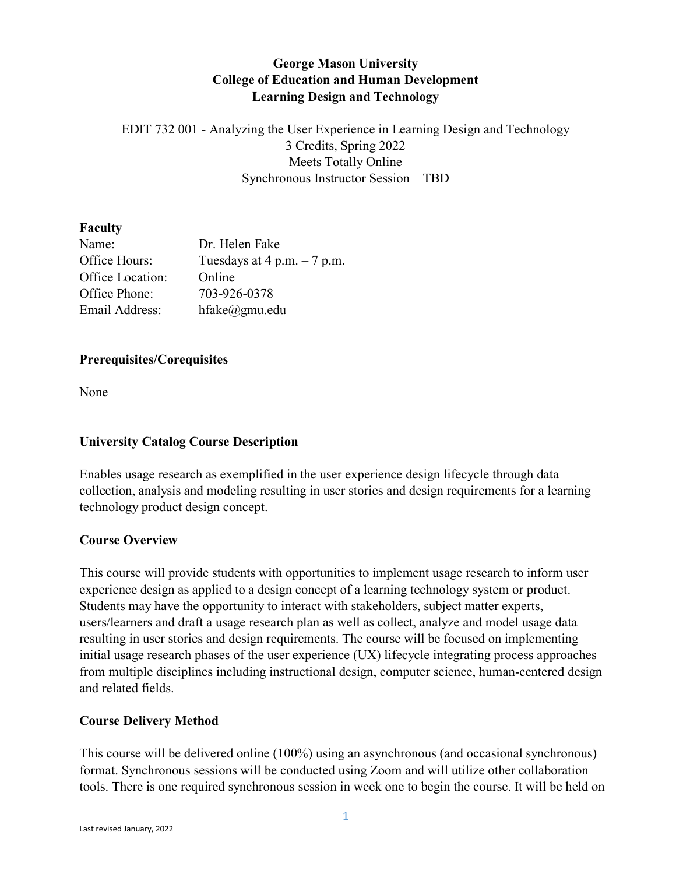# **George Mason University College of Education and Human Development Learning Design and Technology**

EDIT 732 001 - Analyzing the User Experience in Learning Design and Technology 3 Credits, Spring 2022 Meets Totally Online Synchronous Instructor Session – TBD

# **Faculty**

| Name:            | Dr. Helen Fake                 |
|------------------|--------------------------------|
| Office Hours:    | Tuesdays at $4$ p.m. $-7$ p.m. |
| Office Location: | Online                         |
| Office Phone:    | 703-926-0378                   |
| Email Address:   | $h$ fake $@g$ mu.edu           |

# **Prerequisites/Corequisites**

None

# **University Catalog Course Description**

Enables usage research as exemplified in the user experience design lifecycle through data collection, analysis and modeling resulting in user stories and design requirements for a learning technology product design concept.

# **Course Overview**

This course will provide students with opportunities to implement usage research to inform user experience design as applied to a design concept of a learning technology system or product. Students may have the opportunity to interact with stakeholders, subject matter experts, users/learners and draft a usage research plan as well as collect, analyze and model usage data resulting in user stories and design requirements. The course will be focused on implementing initial usage research phases of the user experience (UX) lifecycle integrating process approaches from multiple disciplines including instructional design, computer science, human-centered design and related fields.

# **Course Delivery Method**

This course will be delivered online (100%) using an asynchronous (and occasional synchronous) format. Synchronous sessions will be conducted using Zoom and will utilize other collaboration tools. There is one required synchronous session in week one to begin the course. It will be held on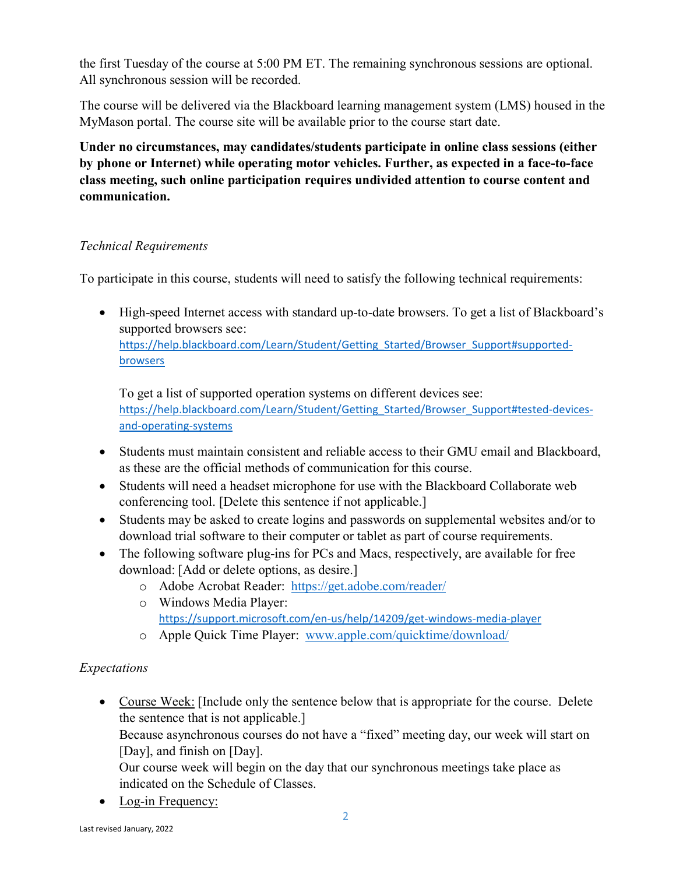the first Tuesday of the course at 5:00 PM ET. The remaining synchronous sessions are optional. All synchronous session will be recorded.

The course will be delivered via the Blackboard learning management system (LMS) housed in the MyMason portal. The course site will be available prior to the course start date.

**Under no circumstances, may candidates/students participate in online class sessions (either by phone or Internet) while operating motor vehicles. Further, as expected in a face-to-face class meeting, such online participation requires undivided attention to course content and communication.**

# *Technical Requirements*

To participate in this course, students will need to satisfy the following technical requirements:

• High-speed Internet access with standard up-to-date browsers. To get a list of Blackboard's supported browsers see: https://help.blackboard.com/Learn/Student/Getting Started/Browser Support#supported[browsers](https://help.blackboard.com/Learn/Student/Getting_Started/Browser_Support#supported-browsers)

To get a list of supported operation systems on different devices see: https://help.blackboard.com/Learn/Student/Getting Started/Browser Support#tested-devices[and-operating-systems](https://help.blackboard.com/Learn/Student/Getting_Started/Browser_Support#tested-devices-and-operating-systems)

- Students must maintain consistent and reliable access to their GMU email and Blackboard, as these are the official methods of communication for this course.
- Students will need a headset microphone for use with the Blackboard Collaborate web conferencing tool. [Delete this sentence if not applicable.]
- Students may be asked to create logins and passwords on supplemental websites and/or to download trial software to their computer or tablet as part of course requirements.
- The following software plug-ins for PCs and Macs, respectively, are available for free download: [Add or delete options, as desire.]
	- o Adobe Acrobat Reader: <https://get.adobe.com/reader/>
	- o Windows Media Player: <https://support.microsoft.com/en-us/help/14209/get-windows-media-player>
	- o Apple Quick Time Player: [www.apple.com/quicktime/download/](http://www.apple.com/quicktime/download/)

# *Expectations*

• Course Week: [Include only the sentence below that is appropriate for the course. Delete the sentence that is not applicable.]

Because asynchronous courses do not have a "fixed" meeting day, our week will start on [Day], and finish on [Day].

Our course week will begin on the day that our synchronous meetings take place as indicated on the Schedule of Classes.

• Log-in Frequency: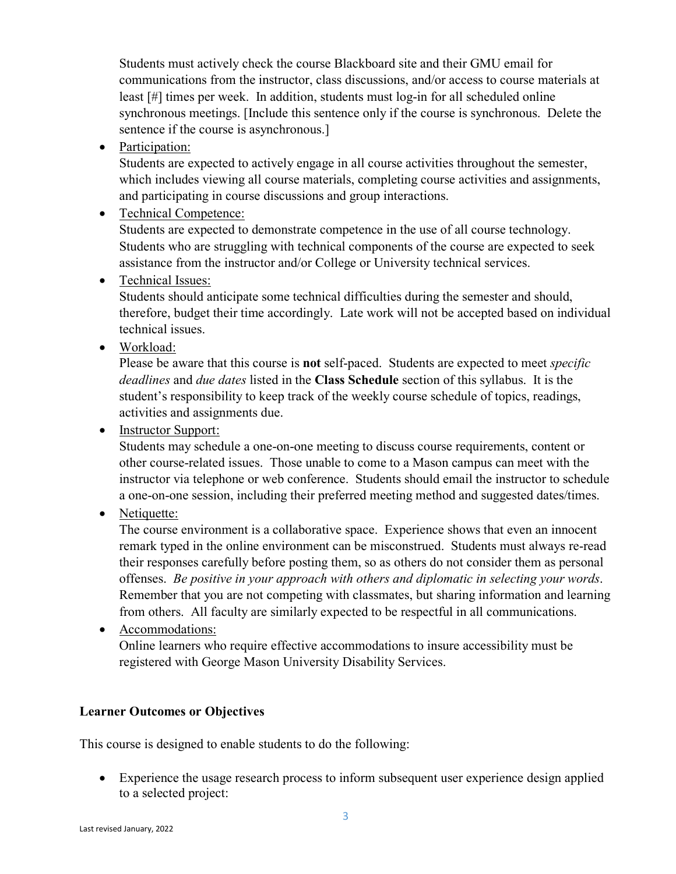Students must actively check the course Blackboard site and their GMU email for communications from the instructor, class discussions, and/or access to course materials at least [#] times per week. In addition, students must log-in for all scheduled online synchronous meetings. [Include this sentence only if the course is synchronous. Delete the sentence if the course is asynchronous.]

• Participation:

Students are expected to actively engage in all course activities throughout the semester, which includes viewing all course materials, completing course activities and assignments, and participating in course discussions and group interactions.

• Technical Competence:

Students are expected to demonstrate competence in the use of all course technology. Students who are struggling with technical components of the course are expected to seek assistance from the instructor and/or College or University technical services.

• Technical Issues:

Students should anticipate some technical difficulties during the semester and should, therefore, budget their time accordingly. Late work will not be accepted based on individual technical issues.

• Workload:

Please be aware that this course is **not** self-paced. Students are expected to meet *specific deadlines* and *due dates* listed in the **Class Schedule** section of this syllabus. It is the student's responsibility to keep track of the weekly course schedule of topics, readings, activities and assignments due.

• Instructor Support:

Students may schedule a one-on-one meeting to discuss course requirements, content or other course-related issues. Those unable to come to a Mason campus can meet with the instructor via telephone or web conference. Students should email the instructor to schedule a one-on-one session, including their preferred meeting method and suggested dates/times.

• Netiquette:

The course environment is a collaborative space. Experience shows that even an innocent remark typed in the online environment can be misconstrued. Students must always re-read their responses carefully before posting them, so as others do not consider them as personal offenses. *Be positive in your approach with others and diplomatic in selecting your words*. Remember that you are not competing with classmates, but sharing information and learning from others. All faculty are similarly expected to be respectful in all communications.

• Accommodations: Online learners who require effective accommodations to insure accessibility must be registered with George Mason University Disability Services.

# **Learner Outcomes or Objectives**

This course is designed to enable students to do the following:

• Experience the usage research process to inform subsequent user experience design applied to a selected project: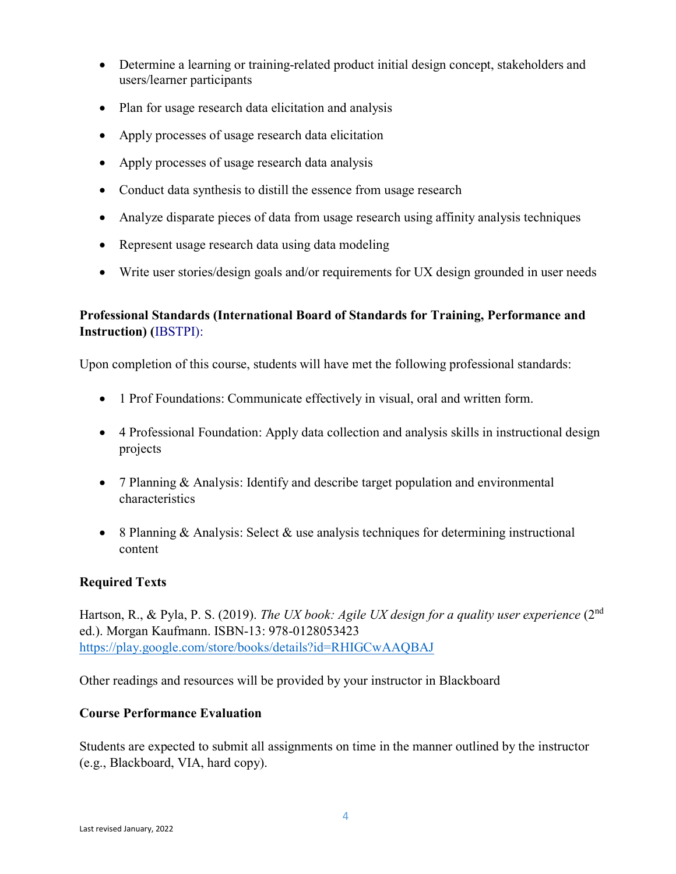- Determine a learning or training-related product initial design concept, stakeholders and users/learner participants
- Plan for usage research data elicitation and analysis
- Apply processes of usage research data elicitation
- Apply processes of usage research data analysis
- Conduct data synthesis to distill the essence from usage research
- Analyze disparate pieces of data from usage research using affinity analysis techniques
- Represent usage research data using data modeling
- Write user stories/design goals and/or requirements for UX design grounded in user needs

# **Professional Standards (International Board of Standards for Training, Performance and Instruction) (**IBSTPI):

Upon completion of this course, students will have met the following professional standards:

- 1 Prof Foundations: Communicate effectively in visual, oral and written form.
- 4 Professional Foundation: Apply data collection and analysis skills in instructional design projects
- 7 Planning & Analysis: Identify and describe target population and environmental characteristics
- 8 Planning & Analysis: Select & use analysis techniques for determining instructional content

# **Required Texts**

Hartson, R., & Pyla, P. S. (2019). *The UX book: Agile UX design for a quality user experience* (2nd ed.). Morgan Kaufmann. ISBN-13: 978-0128053423 <https://play.google.com/store/books/details?id=RHIGCwAAQBAJ>

Other readings and resources will be provided by your instructor in Blackboard

# **Course Performance Evaluation**

Students are expected to submit all assignments on time in the manner outlined by the instructor (e.g., Blackboard, VIA, hard copy).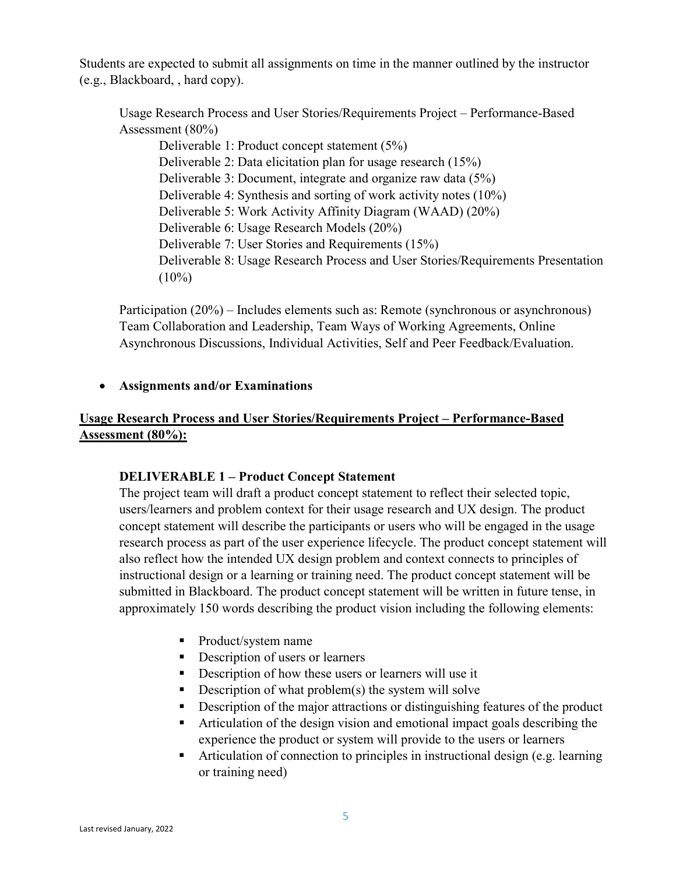Students are expected to submit all assignments on time in the manner outlined by the instructor (e.g., Blackboard, , hard copy).

Usage Research Process and User Stories/Requirements Project – Performance-Based Assessment (80%)

Deliverable 1: Product concept statement (5%) Deliverable 2: Data elicitation plan for usage research (15%) Deliverable 3: Document, integrate and organize raw data (5%) Deliverable 4: Synthesis and sorting of work activity notes (10%) Deliverable 5: Work Activity Affinity Diagram (WAAD) (20%) Deliverable 6: Usage Research Models (20%) Deliverable 7: User Stories and Requirements (15%) Deliverable 8: Usage Research Process and User Stories/Requirements Presentation  $(10\%)$ 

Participation (20%) – Includes elements such as: Remote (synchronous or asynchronous) Team Collaboration and Leadership, Team Ways of Working Agreements, Online Asynchronous Discussions, Individual Activities, Self and Peer Feedback/Evaluation.

#### • **Assignments and/or Examinations**

# **Usage Research Process and User Stories/Requirements Project – Performance-Based Assessment (80%):**

#### **DELIVERABLE 1 – Product Concept Statement**

The project team will draft a product concept statement to reflect their selected topic, users/learners and problem context for their usage research and UX design. The product concept statement will describe the participants or users who will be engaged in the usage research process as part of the user experience lifecycle. The product concept statement will also reflect how the intended UX design problem and context connects to principles of instructional design or a learning or training need. The product concept statement will be submitted in Blackboard. The product concept statement will be written in future tense, in approximately 150 words describing the product vision including the following elements:

- Product/system name
- Description of users or learners
- Description of how these users or learners will use it
- Description of what problem(s) the system will solve
- Description of the major attractions or distinguishing features of the product
- Articulation of the design vision and emotional impact goals describing the experience the product or system will provide to the users or learners
- Articulation of connection to principles in instructional design (e.g. learning or training need)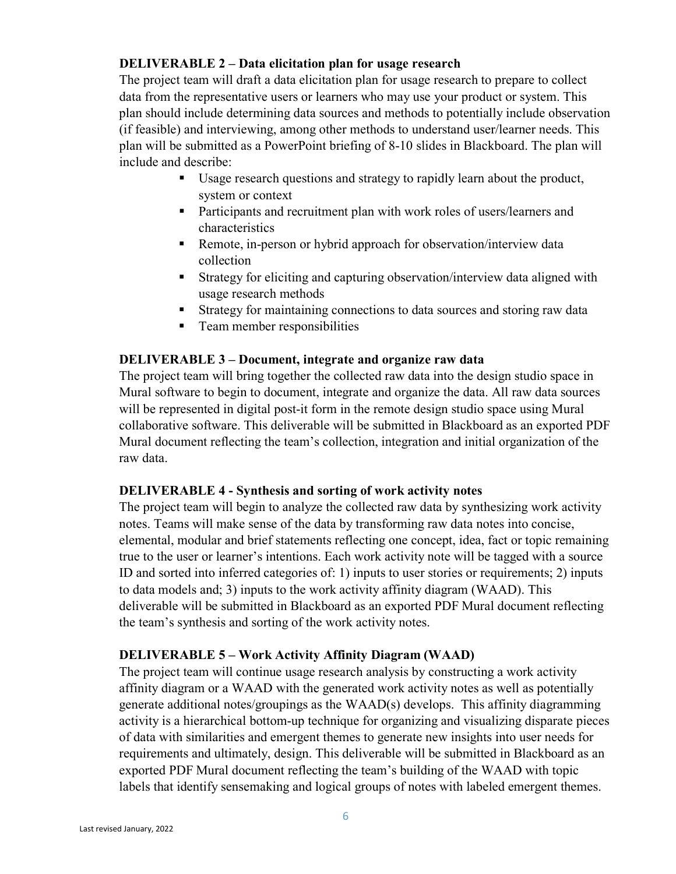# **DELIVERABLE 2 – Data elicitation plan for usage research**

The project team will draft a data elicitation plan for usage research to prepare to collect data from the representative users or learners who may use your product or system. This plan should include determining data sources and methods to potentially include observation (if feasible) and interviewing, among other methods to understand user/learner needs. This plan will be submitted as a PowerPoint briefing of 8-10 slides in Blackboard. The plan will include and describe:

- Usage research questions and strategy to rapidly learn about the product, system or context
- **Participants and recruitment plan with work roles of users/learners and** characteristics
- Remote, in-person or hybrid approach for observation/interview data collection
- Strategy for eliciting and capturing observation/interview data aligned with usage research methods
- Strategy for maintaining connections to data sources and storing raw data
- **Team member responsibilities**

#### **DELIVERABLE 3 – Document, integrate and organize raw data**

The project team will bring together the collected raw data into the design studio space in Mural software to begin to document, integrate and organize the data. All raw data sources will be represented in digital post-it form in the remote design studio space using Mural collaborative software. This deliverable will be submitted in Blackboard as an exported PDF Mural document reflecting the team's collection, integration and initial organization of the raw data.

#### **DELIVERABLE 4 - Synthesis and sorting of work activity notes**

The project team will begin to analyze the collected raw data by synthesizing work activity notes. Teams will make sense of the data by transforming raw data notes into concise, elemental, modular and brief statements reflecting one concept, idea, fact or topic remaining true to the user or learner's intentions. Each work activity note will be tagged with a source ID and sorted into inferred categories of: 1) inputs to user stories or requirements; 2) inputs to data models and; 3) inputs to the work activity affinity diagram (WAAD). This deliverable will be submitted in Blackboard as an exported PDF Mural document reflecting the team's synthesis and sorting of the work activity notes.

# **DELIVERABLE 5 – Work Activity Affinity Diagram (WAAD)**

The project team will continue usage research analysis by constructing a work activity affinity diagram or a WAAD with the generated work activity notes as well as potentially generate additional notes/groupings as the WAAD(s) develops. This affinity diagramming activity is a hierarchical bottom-up technique for organizing and visualizing disparate pieces of data with similarities and emergent themes to generate new insights into user needs for requirements and ultimately, design. This deliverable will be submitted in Blackboard as an exported PDF Mural document reflecting the team's building of the WAAD with topic labels that identify sensemaking and logical groups of notes with labeled emergent themes.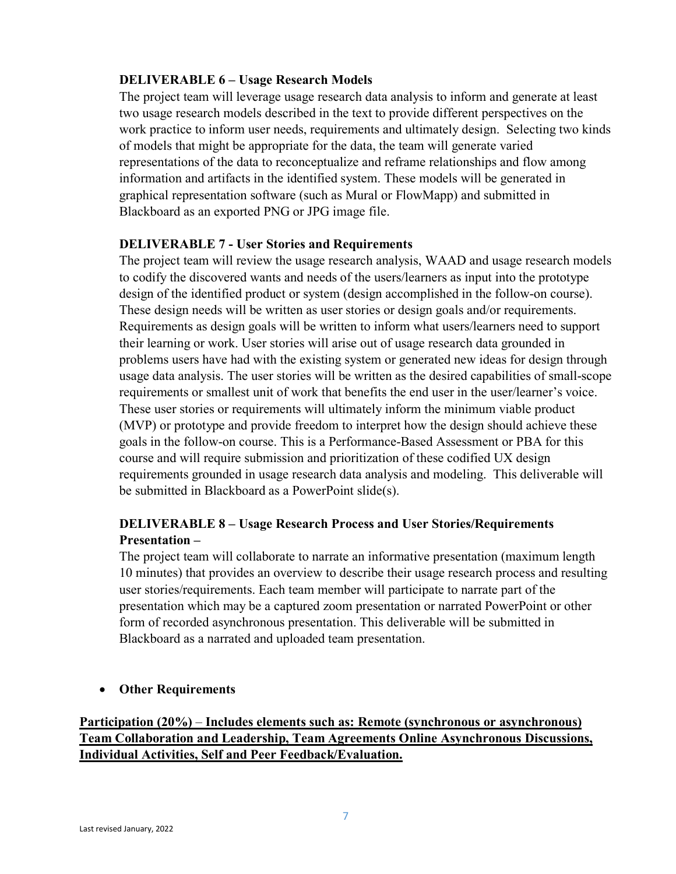#### **DELIVERABLE 6 – Usage Research Models**

The project team will leverage usage research data analysis to inform and generate at least two usage research models described in the text to provide different perspectives on the work practice to inform user needs, requirements and ultimately design. Selecting two kinds of models that might be appropriate for the data, the team will generate varied representations of the data to reconceptualize and reframe relationships and flow among information and artifacts in the identified system. These models will be generated in graphical representation software (such as Mural or FlowMapp) and submitted in Blackboard as an exported PNG or JPG image file.

#### **DELIVERABLE 7 - User Stories and Requirements**

The project team will review the usage research analysis, WAAD and usage research models to codify the discovered wants and needs of the users/learners as input into the prototype design of the identified product or system (design accomplished in the follow-on course). These design needs will be written as user stories or design goals and/or requirements. Requirements as design goals will be written to inform what users/learners need to support their learning or work. User stories will arise out of usage research data grounded in problems users have had with the existing system or generated new ideas for design through usage data analysis. The user stories will be written as the desired capabilities of small-scope requirements or smallest unit of work that benefits the end user in the user/learner's voice. These user stories or requirements will ultimately inform the minimum viable product (MVP) or prototype and provide freedom to interpret how the design should achieve these goals in the follow-on course. This is a Performance-Based Assessment or PBA for this course and will require submission and prioritization of these codified UX design requirements grounded in usage research data analysis and modeling. This deliverable will be submitted in Blackboard as a PowerPoint slide(s).

# **DELIVERABLE 8 – Usage Research Process and User Stories/Requirements Presentation –**

The project team will collaborate to narrate an informative presentation (maximum length 10 minutes) that provides an overview to describe their usage research process and resulting user stories/requirements. Each team member will participate to narrate part of the presentation which may be a captured zoom presentation or narrated PowerPoint or other form of recorded asynchronous presentation. This deliverable will be submitted in Blackboard as a narrated and uploaded team presentation.

# • **Other Requirements**

# **Participation (20%)** – **Includes elements such as: Remote (synchronous or asynchronous) Team Collaboration and Leadership, Team Agreements Online Asynchronous Discussions, Individual Activities, Self and Peer Feedback/Evaluation.**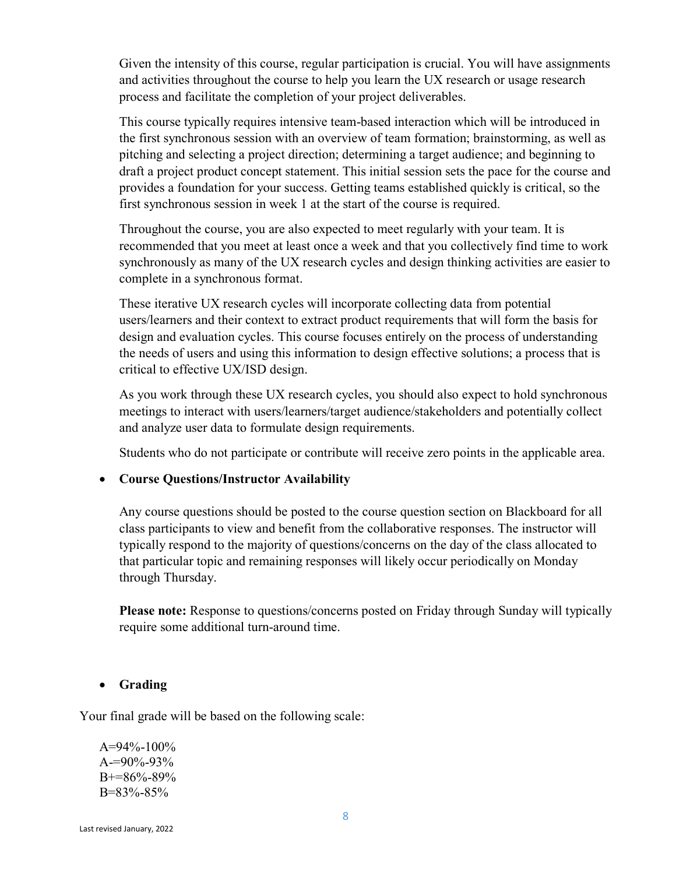Given the intensity of this course, regular participation is crucial. You will have assignments and activities throughout the course to help you learn the UX research or usage research process and facilitate the completion of your project deliverables.

This course typically requires intensive team-based interaction which will be introduced in the first synchronous session with an overview of team formation; brainstorming, as well as pitching and selecting a project direction; determining a target audience; and beginning to draft a project product concept statement. This initial session sets the pace for the course and provides a foundation for your success. Getting teams established quickly is critical, so the first synchronous session in week 1 at the start of the course is required.

Throughout the course, you are also expected to meet regularly with your team. It is recommended that you meet at least once a week and that you collectively find time to work synchronously as many of the UX research cycles and design thinking activities are easier to complete in a synchronous format.

These iterative UX research cycles will incorporate collecting data from potential users/learners and their context to extract product requirements that will form the basis for design and evaluation cycles. This course focuses entirely on the process of understanding the needs of users and using this information to design effective solutions; a process that is critical to effective UX/ISD design.

As you work through these UX research cycles, you should also expect to hold synchronous meetings to interact with users/learners/target audience/stakeholders and potentially collect and analyze user data to formulate design requirements.

Students who do not participate or contribute will receive zero points in the applicable area.

#### • **Course Questions/Instructor Availability**

Any course questions should be posted to the course question section on Blackboard for all class participants to view and benefit from the collaborative responses. The instructor will typically respond to the majority of questions/concerns on the day of the class allocated to that particular topic and remaining responses will likely occur periodically on Monday through Thursday.

**Please note:** Response to questions/concerns posted on Friday through Sunday will typically require some additional turn-around time.

#### • **Grading**

Your final grade will be based on the following scale:

 $A=94\% - 100\%$  $A=90\% - 93\%$ B+=86%-89% B=83%-85%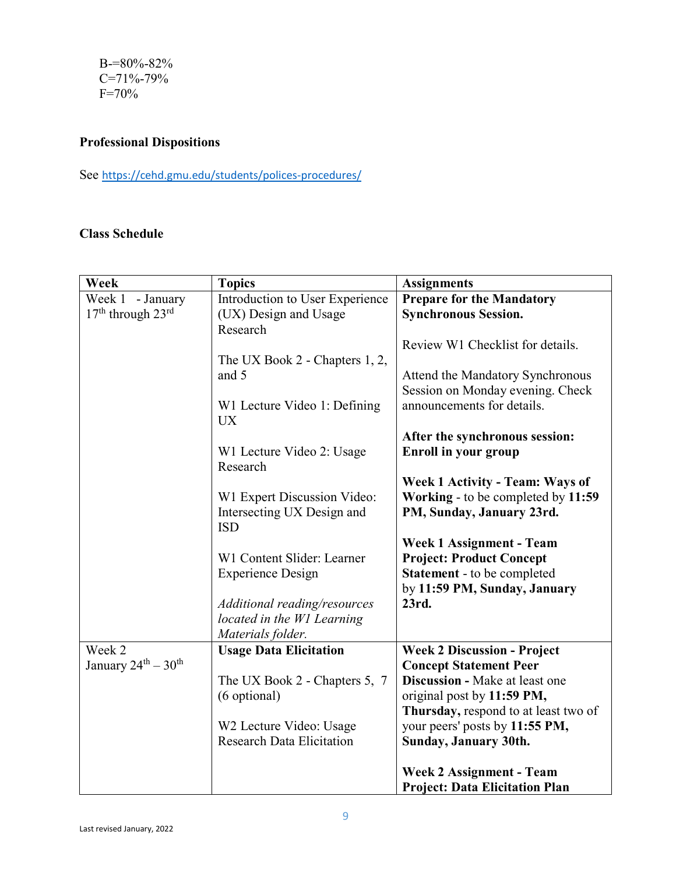B-=80%-82% C=71%-79% F=70%

# **Professional Dispositions**

See <https://cehd.gmu.edu/students/polices-procedures/>

# **Class Schedule**

| Week                  | <b>Topics</b>                                              | <b>Assignments</b>                                             |
|-----------------------|------------------------------------------------------------|----------------------------------------------------------------|
| Week 1 - January      | Introduction to User Experience                            | <b>Prepare for the Mandatory</b>                               |
| $17th$ through $23rd$ | (UX) Design and Usage<br>Research                          | <b>Synchronous Session.</b>                                    |
|                       |                                                            | Review W1 Checklist for details.                               |
|                       | The UX Book 2 - Chapters 1, 2,<br>and 5                    | Attend the Mandatory Synchronous                               |
|                       | W1 Lecture Video 1: Defining<br><b>UX</b>                  | Session on Monday evening. Check<br>announcements for details. |
|                       |                                                            | After the synchronous session:                                 |
|                       | W1 Lecture Video 2: Usage<br>Research                      | Enroll in your group                                           |
|                       |                                                            | <b>Week 1 Activity - Team: Ways of</b>                         |
|                       | W1 Expert Discussion Video:                                | Working - to be completed by 11:59                             |
|                       | Intersecting UX Design and<br><b>ISD</b>                   | PM, Sunday, January 23rd.                                      |
|                       |                                                            | <b>Week 1 Assignment - Team</b>                                |
|                       | W1 Content Slider: Learner                                 | <b>Project: Product Concept</b>                                |
|                       | <b>Experience Design</b>                                   | <b>Statement</b> - to be completed                             |
|                       |                                                            | by 11:59 PM, Sunday, January                                   |
|                       | Additional reading/resources<br>located in the W1 Learning | 23rd.                                                          |
|                       | Materials folder.                                          |                                                                |
| Week 2                | <b>Usage Data Elicitation</b>                              | <b>Week 2 Discussion - Project</b>                             |
| January 24th - 30th   |                                                            | <b>Concept Statement Peer</b>                                  |
|                       | The UX Book 2 - Chapters 5, 7                              | Discussion - Make at least one                                 |
|                       | (6 optional)                                               | original post by 11:59 PM,                                     |
|                       |                                                            | Thursday, respond to at least two of                           |
|                       | W2 Lecture Video: Usage                                    | your peers' posts by 11:55 PM,                                 |
|                       | <b>Research Data Elicitation</b>                           | Sunday, January 30th.                                          |
|                       |                                                            | <b>Week 2 Assignment - Team</b>                                |
|                       |                                                            | <b>Project: Data Elicitation Plan</b>                          |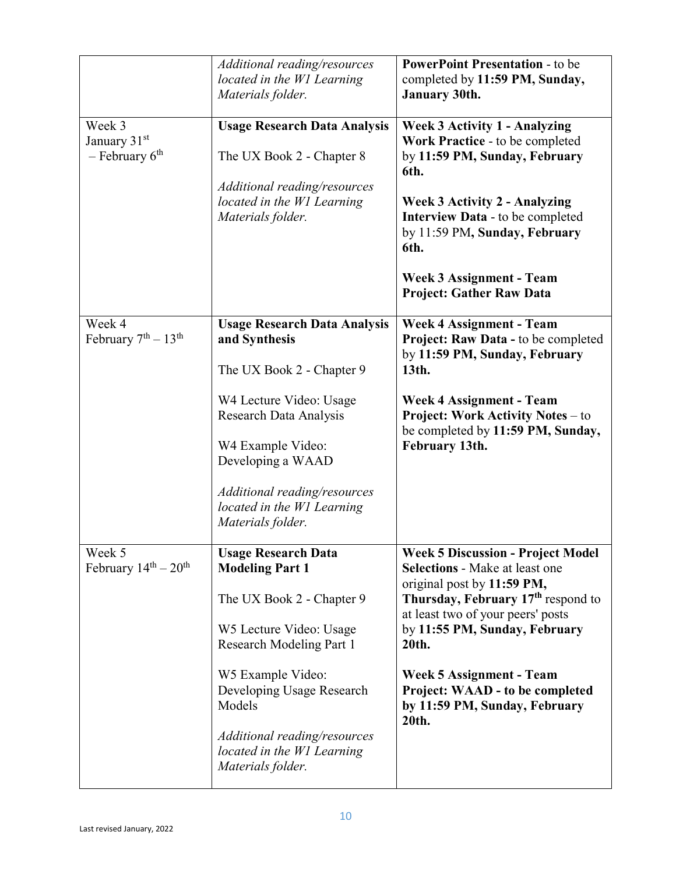|                                                          | Additional reading/resources<br>located in the W1 Learning<br>Materials folder.                                                                                                                                                                                                                | <b>PowerPoint Presentation - to be</b><br>completed by 11:59 PM, Sunday,<br><b>January 30th.</b>                                                                                                                                                                                                                                                                 |
|----------------------------------------------------------|------------------------------------------------------------------------------------------------------------------------------------------------------------------------------------------------------------------------------------------------------------------------------------------------|------------------------------------------------------------------------------------------------------------------------------------------------------------------------------------------------------------------------------------------------------------------------------------------------------------------------------------------------------------------|
| Week 3<br>January 31 <sup>st</sup><br>$-$ February $6th$ | <b>Usage Research Data Analysis</b><br>The UX Book 2 - Chapter 8<br>Additional reading/resources<br>located in the W1 Learning<br>Materials folder.                                                                                                                                            | <b>Week 3 Activity 1 - Analyzing</b><br>Work Practice - to be completed<br>by 11:59 PM, Sunday, February<br>6th.<br><b>Week 3 Activity 2 - Analyzing</b><br><b>Interview Data - to be completed</b><br>by 11:59 PM, Sunday, February<br>6th.<br><b>Week 3 Assignment - Team</b><br><b>Project: Gather Raw Data</b>                                               |
| Week 4<br>February $7th - 13th$                          | <b>Usage Research Data Analysis</b><br>and Synthesis<br>The UX Book 2 - Chapter 9                                                                                                                                                                                                              | <b>Week 4 Assignment - Team</b><br>Project: Raw Data - to be completed<br>by 11:59 PM, Sunday, February<br>13th.                                                                                                                                                                                                                                                 |
|                                                          | W4 Lecture Video: Usage<br>Research Data Analysis<br>W4 Example Video:<br>Developing a WAAD<br>Additional reading/resources<br>located in the W1 Learning<br>Materials folder.                                                                                                                 | <b>Week 4 Assignment - Team</b><br><b>Project: Work Activity Notes – to</b><br>be completed by 11:59 PM, Sunday,<br>February 13th.                                                                                                                                                                                                                               |
| Week 5<br>February $14^{th} - 20^{th}$                   | <b>Usage Research Data</b><br><b>Modeling Part 1</b><br>The UX Book 2 - Chapter 9<br>W5 Lecture Video: Usage<br><b>Research Modeling Part 1</b><br>W5 Example Video:<br>Developing Usage Research<br>Models<br>Additional reading/resources<br>located in the W1 Learning<br>Materials folder. | <b>Week 5 Discussion - Project Model</b><br><b>Selections - Make at least one</b><br>original post by 11:59 PM,<br>Thursday, February 17 <sup>th</sup> respond to<br>at least two of your peers' posts<br>by 11:55 PM, Sunday, February<br>20th.<br><b>Week 5 Assignment - Team</b><br>Project: WAAD - to be completed<br>by 11:59 PM, Sunday, February<br>20th. |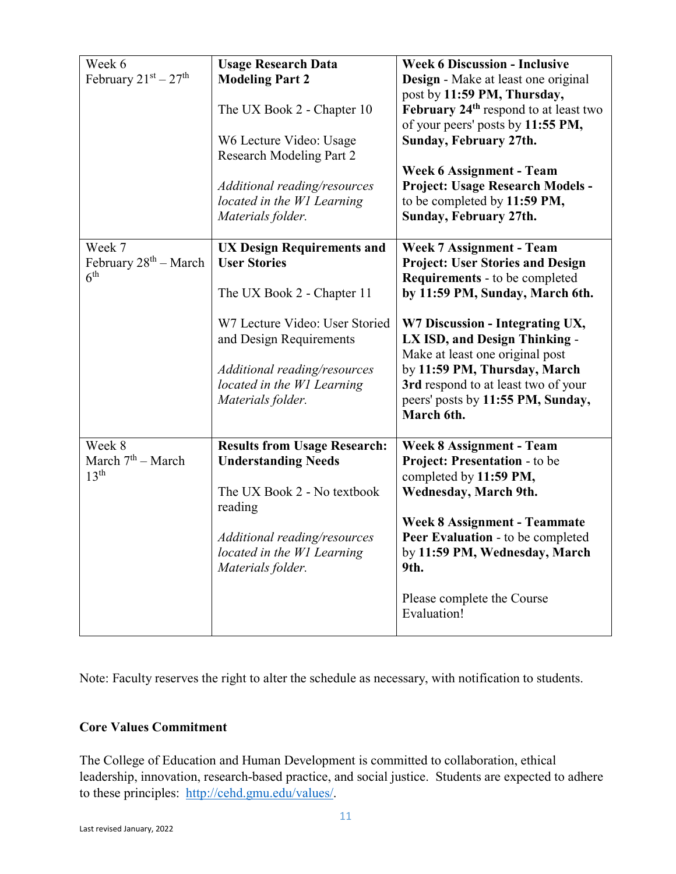| Week 6<br>February $21^{st} - 27^{th}$               | <b>Usage Research Data</b><br><b>Modeling Part 2</b><br>The UX Book 2 - Chapter 10<br>W6 Lecture Video: Usage<br><b>Research Modeling Part 2</b><br>Additional reading/resources<br>located in the W1 Learning<br>Materials folder.    | <b>Week 6 Discussion - Inclusive</b><br>Design - Make at least one original<br>post by 11:59 PM, Thursday,<br>February 24 <sup>th</sup> respond to at least two<br>of your peers' posts by 11:55 PM,<br>Sunday, February 27th.<br><b>Week 6 Assignment - Team</b><br>Project: Usage Research Models -<br>to be completed by 11:59 PM,<br>Sunday, February 27th.                         |
|------------------------------------------------------|----------------------------------------------------------------------------------------------------------------------------------------------------------------------------------------------------------------------------------------|-----------------------------------------------------------------------------------------------------------------------------------------------------------------------------------------------------------------------------------------------------------------------------------------------------------------------------------------------------------------------------------------|
| Week 7<br>February $28th - March$<br>6 <sup>th</sup> | <b>UX Design Requirements and</b><br><b>User Stories</b><br>The UX Book 2 - Chapter 11<br>W7 Lecture Video: User Storied<br>and Design Requirements<br>Additional reading/resources<br>located in the W1 Learning<br>Materials folder. | <b>Week 7 Assignment - Team</b><br><b>Project: User Stories and Design</b><br><b>Requirements</b> - to be completed<br>by 11:59 PM, Sunday, March 6th.<br>W7 Discussion - Integrating UX,<br>LX ISD, and Design Thinking -<br>Make at least one original post<br>by 11:59 PM, Thursday, March<br>3rd respond to at least two of your<br>peers' posts by 11:55 PM, Sunday,<br>March 6th. |
| Week 8<br>March $7th$ – March<br>13 <sup>th</sup>    | <b>Results from Usage Research:</b><br><b>Understanding Needs</b><br>The UX Book 2 - No textbook<br>reading<br>Additional reading/resources<br>located in the W1 Learning<br>Materials folder.                                         | <b>Week 8 Assignment - Team</b><br>Project: Presentation - to be<br>completed by 11:59 PM,<br>Wednesday, March 9th.<br><b>Week 8 Assignment - Teammate</b><br>Peer Evaluation - to be completed<br>by 11:59 PM, Wednesday, March<br>9th.<br>Please complete the Course<br>Evaluation!                                                                                                   |

Note: Faculty reserves the right to alter the schedule as necessary, with notification to students.

# **Core Values Commitment**

The College of Education and Human Development is committed to collaboration, ethical leadership, innovation, research-based practice, and social justice. Students are expected to adhere to these principles: [http://cehd.gmu.edu/values/.](http://cehd.gmu.edu/values/)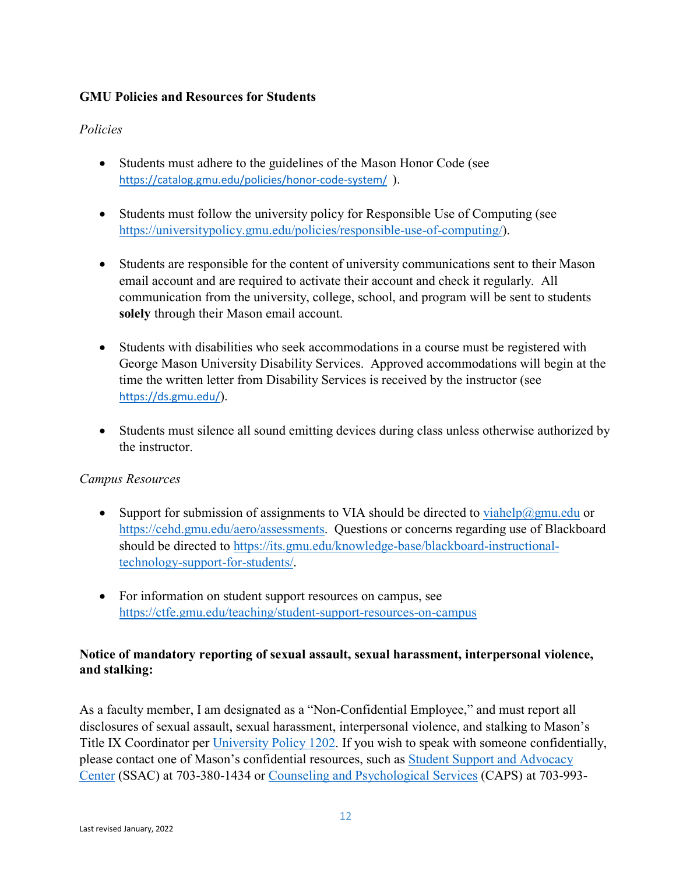# **GMU Policies and Resources for Students**

# *Policies*

- Students must adhere to the guidelines of the Mason Honor Code (see <https://catalog.gmu.edu/policies/honor-code-system/>).
- Students must follow the university policy for Responsible Use of Computing (see [https://universitypolicy.gmu.edu/policies/responsible-use-of-computing/\)](https://universitypolicy.gmu.edu/policies/responsible-use-of-computing/).
- Students are responsible for the content of university communications sent to their Mason email account and are required to activate their account and check it regularly. All communication from the university, college, school, and program will be sent to students **solely** through their Mason email account.
- Students with disabilities who seek accommodations in a course must be registered with George Mason University Disability Services. Approved accommodations will begin at the time the written letter from Disability Services is received by the instructor (see <https://ds.gmu.edu/>).
- Students must silence all sound emitting devices during class unless otherwise authorized by the instructor.

# *Campus Resources*

- Support for submission of assignments to VIA should be directed to [viahelp@gmu.edu](mailto:viahelp@gmu.edu) or [https://cehd.gmu.edu/aero/assessments.](https://cehd.gmu.edu/aero/assessments) Questions or concerns regarding use of Blackboard should be directed to [https://its.gmu.edu/knowledge-base/blackboard-instructional](https://its.gmu.edu/knowledge-base/blackboard-instructional-technology-support-for-students/)[technology-support-for-students/.](https://its.gmu.edu/knowledge-base/blackboard-instructional-technology-support-for-students/)
- For information on student support resources on campus, see <https://ctfe.gmu.edu/teaching/student-support-resources-on-campus>

# **Notice of mandatory reporting of sexual assault, sexual harassment, interpersonal violence, and stalking:**

As a faculty member, I am designated as a "Non-Confidential Employee," and must report all disclosures of sexual assault, sexual harassment, interpersonal violence, and stalking to Mason's Title IX Coordinator per [University Policy 1202.](https://universitypolicy.gmu.edu/policies/sexual-harassment-policy/) If you wish to speak with someone confidentially, please contact one of Mason's confidential resources, such as [Student Support and Advocacy](https://ssac.gmu.edu/)  [Center](https://ssac.gmu.edu/) (SSAC) at 703-380-1434 or [Counseling and Psychological Services](https://caps.gmu.edu/) (CAPS) at 703-993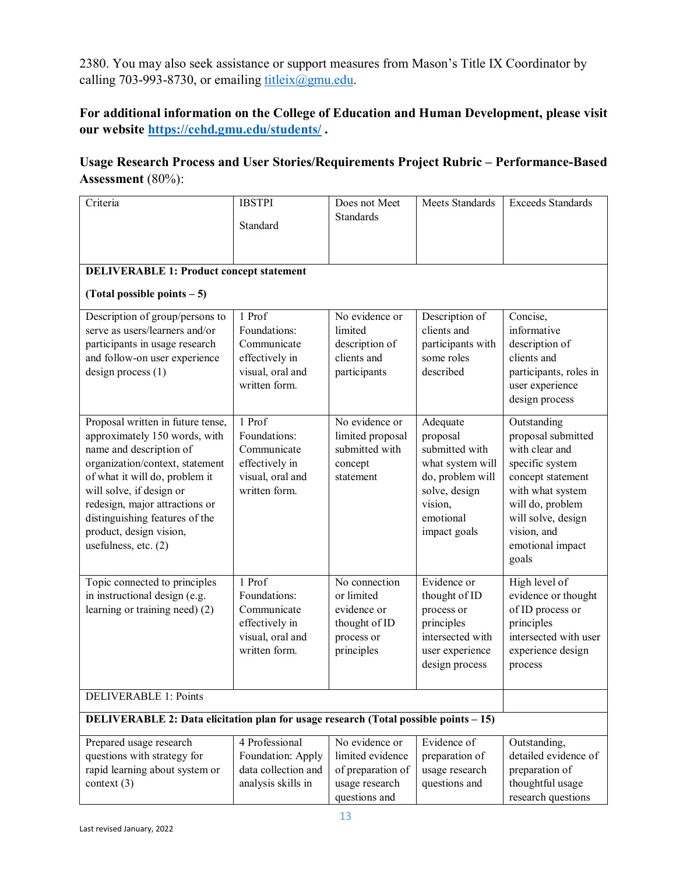2380. You may also seek assistance or support measures from Mason's Title IX Coordinator by calling 703-993-8730, or emailing  $\underline{\text{title}}(a)$ gmu.edu.

# **For additional information on the College of Education and Human Development, please visit our website<https://cehd.gmu.edu/students/> .**

# **Usage Research Process and User Stories/Requirements Project Rubric – Performance-Based Assessment** (80%):

| Criteria                                                                                                                                                                                                                                                                                                                | <b>IBSTPI</b><br>Standard                                                                    | Does not Meet<br>Standards                                                                 | Meets Standards                                                                                                                         | <b>Exceeds Standards</b>                                                                                                                                                                              |
|-------------------------------------------------------------------------------------------------------------------------------------------------------------------------------------------------------------------------------------------------------------------------------------------------------------------------|----------------------------------------------------------------------------------------------|--------------------------------------------------------------------------------------------|-----------------------------------------------------------------------------------------------------------------------------------------|-------------------------------------------------------------------------------------------------------------------------------------------------------------------------------------------------------|
| <b>DELIVERABLE 1: Product concept statement</b>                                                                                                                                                                                                                                                                         |                                                                                              |                                                                                            |                                                                                                                                         |                                                                                                                                                                                                       |
| (Total possible points $-5$ )                                                                                                                                                                                                                                                                                           |                                                                                              |                                                                                            |                                                                                                                                         |                                                                                                                                                                                                       |
| Description of group/persons to<br>serve as users/learners and/or<br>participants in usage research<br>and follow-on user experience<br>$design$ process $(1)$                                                                                                                                                          | 1 Prof<br>Foundations:<br>Communicate<br>effectively in<br>visual, oral and<br>written form. | No evidence or<br>limited<br>description of<br>clients and<br>participants                 | Description of<br>clients and<br>participants with<br>some roles<br>described                                                           | Concise,<br>informative<br>description of<br>clients and<br>participants, roles in<br>user experience<br>design process                                                                               |
| Proposal written in future tense,<br>approximately 150 words, with<br>name and description of<br>organization/context, statement<br>of what it will do, problem it<br>will solve, if design or<br>redesign, major attractions or<br>distinguishing features of the<br>product, design vision,<br>usefulness, etc. $(2)$ | 1 Prof<br>Foundations:<br>Communicate<br>effectively in<br>visual, oral and<br>written form. | No evidence or<br>limited proposal<br>submitted with<br>concept<br>statement               | Adequate<br>proposal<br>submitted with<br>what system will<br>do, problem will<br>solve, design<br>vision,<br>emotional<br>impact goals | Outstanding<br>proposal submitted<br>with clear and<br>specific system<br>concept statement<br>with what system<br>will do, problem<br>will solve, design<br>vision, and<br>emotional impact<br>goals |
| Topic connected to principles<br>in instructional design (e.g.<br>learning or training need) (2)                                                                                                                                                                                                                        | 1 Prof<br>Foundations:<br>Communicate<br>effectively in<br>visual, oral and<br>written form. | No connection<br>or limited<br>evidence or<br>thought of ID<br>process or<br>principles    | Evidence or<br>thought of ID<br>process or<br>principles<br>intersected with<br>user experience<br>design process                       | High level of<br>evidence or thought<br>of ID process or<br>principles<br>intersected with user<br>experience design<br>process                                                                       |
| <b>DELIVERABLE 1: Points</b>                                                                                                                                                                                                                                                                                            |                                                                                              |                                                                                            |                                                                                                                                         |                                                                                                                                                                                                       |
| DELIVERABLE 2: Data elicitation plan for usage research (Total possible points - 15)                                                                                                                                                                                                                                    |                                                                                              |                                                                                            |                                                                                                                                         |                                                                                                                                                                                                       |
| Prepared usage research<br>questions with strategy for<br>rapid learning about system or<br>context $(3)$                                                                                                                                                                                                               | 4 Professional<br>Foundation: Apply<br>data collection and<br>analysis skills in             | No evidence or<br>limited evidence<br>of preparation of<br>usage research<br>questions and | Evidence of<br>preparation of<br>usage research<br>questions and                                                                        | Outstanding,<br>detailed evidence of<br>preparation of<br>thoughtful usage<br>research questions                                                                                                      |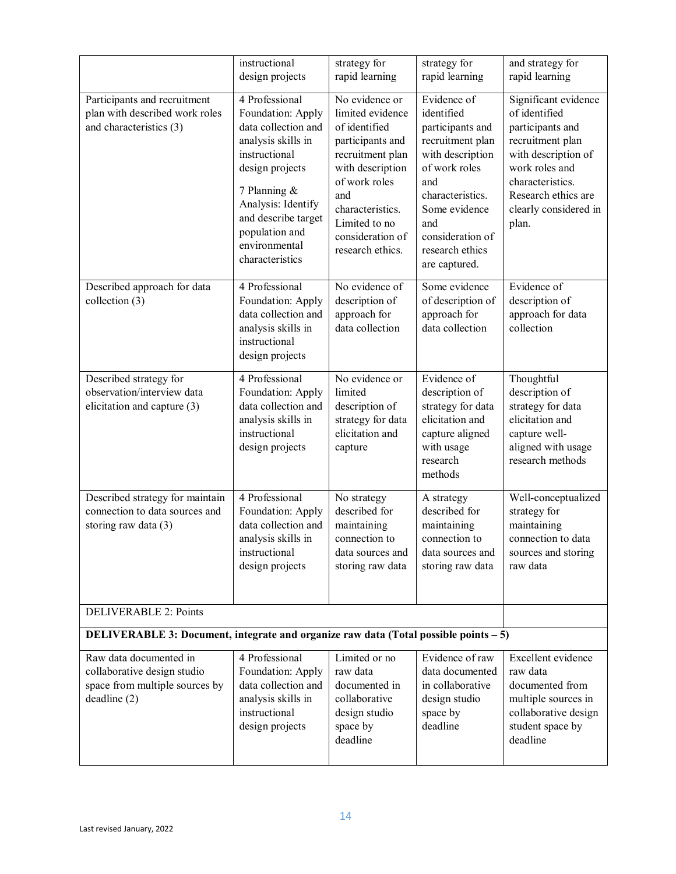|                                                                                                        | instructional<br>design projects                                                                                                                                                                                                        | strategy for<br>rapid learning                                                                                                                                                                                       | strategy for<br>rapid learning                                                                                                                                                                                    | and strategy for<br>rapid learning                                                                                                                                                                  |
|--------------------------------------------------------------------------------------------------------|-----------------------------------------------------------------------------------------------------------------------------------------------------------------------------------------------------------------------------------------|----------------------------------------------------------------------------------------------------------------------------------------------------------------------------------------------------------------------|-------------------------------------------------------------------------------------------------------------------------------------------------------------------------------------------------------------------|-----------------------------------------------------------------------------------------------------------------------------------------------------------------------------------------------------|
| Participants and recruitment<br>plan with described work roles<br>and characteristics (3)              | 4 Professional<br>Foundation: Apply<br>data collection and<br>analysis skills in<br>instructional<br>design projects<br>7 Planning &<br>Analysis: Identify<br>and describe target<br>population and<br>environmental<br>characteristics | No evidence or<br>limited evidence<br>of identified<br>participants and<br>recruitment plan<br>with description<br>of work roles<br>and<br>characteristics.<br>Limited to no<br>consideration of<br>research ethics. | Evidence of<br>identified<br>participants and<br>recruitment plan<br>with description<br>of work roles<br>and<br>characteristics.<br>Some evidence<br>and<br>consideration of<br>research ethics<br>are captured. | Significant evidence<br>of identified<br>participants and<br>recruitment plan<br>with description of<br>work roles and<br>characteristics.<br>Research ethics are<br>clearly considered in<br>plan. |
| Described approach for data<br>collection (3)                                                          | 4 Professional<br>Foundation: Apply<br>data collection and<br>analysis skills in<br>instructional<br>design projects                                                                                                                    | No evidence of<br>description of<br>approach for<br>data collection                                                                                                                                                  | Some evidence<br>of description of<br>approach for<br>data collection                                                                                                                                             | Evidence of<br>description of<br>approach for data<br>collection                                                                                                                                    |
| Described strategy for<br>observation/interview data<br>elicitation and capture (3)                    | 4 Professional<br>Foundation: Apply<br>data collection and<br>analysis skills in<br>instructional<br>design projects                                                                                                                    | No evidence or<br>limited<br>description of<br>strategy for data<br>elicitation and<br>capture                                                                                                                       | Evidence of<br>description of<br>strategy for data<br>elicitation and<br>capture aligned<br>with usage<br>research<br>methods                                                                                     | Thoughtful<br>description of<br>strategy for data<br>elicitation and<br>capture well-<br>aligned with usage<br>research methods                                                                     |
| Described strategy for maintain<br>connection to data sources and<br>storing raw data (3)              | 4 Professional<br>Foundation: Apply<br>data collection and<br>analysis skills in<br>instructional<br>design projects                                                                                                                    | No strategy<br>described for<br>maintaining<br>connection to<br>data sources and<br>storing raw data                                                                                                                 | A strategy<br>described for<br>maintaining<br>connection to<br>data sources and<br>storing raw data                                                                                                               | Well-conceptualized<br>strategy for<br>maintaining<br>connection to data<br>sources and storing<br>raw data                                                                                         |
| <b>DELIVERABLE 2: Points</b>                                                                           |                                                                                                                                                                                                                                         |                                                                                                                                                                                                                      |                                                                                                                                                                                                                   |                                                                                                                                                                                                     |
| DELIVERABLE 3: Document, integrate and organize raw data (Total possible points - 5)                   |                                                                                                                                                                                                                                         |                                                                                                                                                                                                                      |                                                                                                                                                                                                                   |                                                                                                                                                                                                     |
| Raw data documented in<br>collaborative design studio<br>space from multiple sources by<br>deadline(2) | 4 Professional<br>Foundation: Apply<br>data collection and<br>analysis skills in<br>instructional<br>design projects                                                                                                                    | Limited or no<br>raw data<br>documented in<br>collaborative<br>design studio<br>space by<br>deadline                                                                                                                 | Evidence of raw<br>data documented<br>in collaborative<br>design studio<br>space by<br>deadline                                                                                                                   | Excellent evidence<br>raw data<br>documented from<br>multiple sources in<br>collaborative design<br>student space by<br>deadline                                                                    |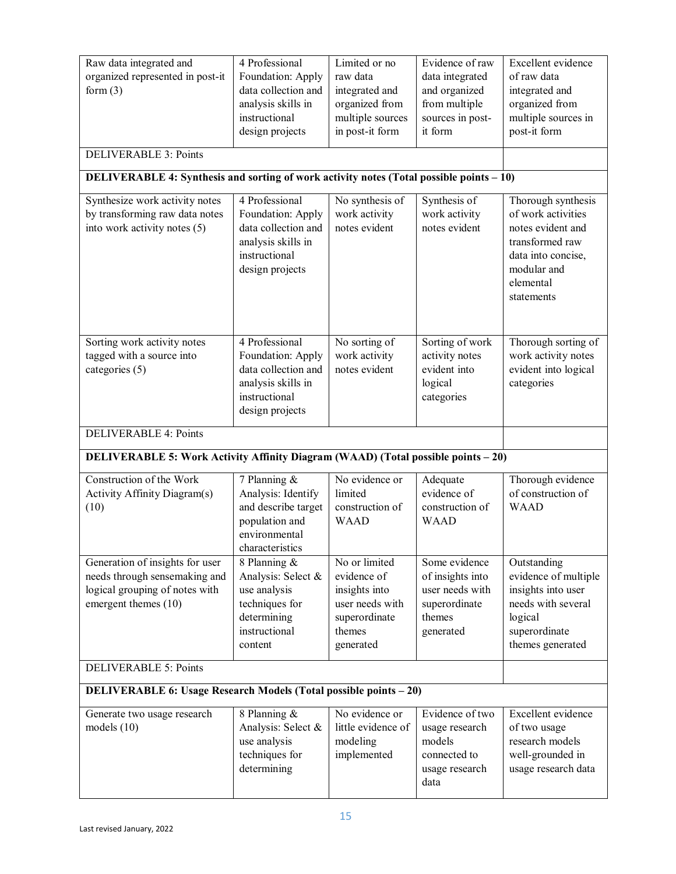| 4 Professional<br>Raw data integrated and<br>organized represented in post-it<br>Foundation: Apply<br>form $(3)$<br>data collection and<br>analysis skills in<br>instructional<br>design projects<br><b>DELIVERABLE 3: Points</b><br>DELIVERABLE 4: Synthesis and sorting of work activity notes (Total possible points - 10) |                                                                                                                      | Limited or no<br>raw data<br>integrated and<br>organized from<br>multiple sources<br>in post-it form     | Evidence of raw<br>data integrated<br>and organized<br>from multiple<br>sources in post-<br>it form | Excellent evidence<br>of raw data<br>integrated and<br>organized from<br>multiple sources in<br>post-it form                                     |
|-------------------------------------------------------------------------------------------------------------------------------------------------------------------------------------------------------------------------------------------------------------------------------------------------------------------------------|----------------------------------------------------------------------------------------------------------------------|----------------------------------------------------------------------------------------------------------|-----------------------------------------------------------------------------------------------------|--------------------------------------------------------------------------------------------------------------------------------------------------|
| Synthesize work activity notes<br>by transforming raw data notes<br>into work activity notes (5)                                                                                                                                                                                                                              | 4 Professional<br>Foundation: Apply<br>data collection and<br>analysis skills in<br>instructional<br>design projects | No synthesis of<br>work activity<br>notes evident                                                        | Synthesis of<br>work activity<br>notes evident                                                      | Thorough synthesis<br>of work activities<br>notes evident and<br>transformed raw<br>data into concise,<br>modular and<br>elemental<br>statements |
| Sorting work activity notes<br>tagged with a source into<br>categories (5)                                                                                                                                                                                                                                                    | 4 Professional<br>Foundation: Apply<br>data collection and<br>analysis skills in<br>instructional<br>design projects | No sorting of<br>work activity<br>notes evident                                                          | Sorting of work<br>activity notes<br>evident into<br>logical<br>categories                          | Thorough sorting of<br>work activity notes<br>evident into logical<br>categories                                                                 |
| <b>DELIVERABLE 4: Points</b>                                                                                                                                                                                                                                                                                                  |                                                                                                                      |                                                                                                          |                                                                                                     |                                                                                                                                                  |
| DELIVERABLE 5: Work Activity Affinity Diagram (WAAD) (Total possible points - 20)                                                                                                                                                                                                                                             |                                                                                                                      |                                                                                                          |                                                                                                     |                                                                                                                                                  |
| Construction of the Work<br>Activity Affinity Diagram(s)<br>(10)                                                                                                                                                                                                                                                              | 7 Planning &<br>Analysis: Identify<br>and describe target<br>population and<br>environmental<br>characteristics      | No evidence or<br>limited<br>construction of<br><b>WAAD</b>                                              | Adequate<br>evidence of<br>construction of<br><b>WAAD</b>                                           | Thorough evidence<br>of construction of<br><b>WAAD</b>                                                                                           |
| Generation of insights for user<br>needs through sensemaking and<br>logical grouping of notes with<br>emergent themes (10)                                                                                                                                                                                                    | 8 Planning &<br>Analysis: Select &<br>use analysis<br>techniques for<br>determining<br>instructional<br>content      | No or limited<br>evidence of<br>insights into<br>user needs with<br>superordinate<br>themes<br>generated | Some evidence<br>of insights into<br>user needs with<br>superordinate<br>themes<br>generated        | Outstanding<br>evidence of multiple<br>insights into user<br>needs with several<br>logical<br>superordinate<br>themes generated                  |
| <b>DELIVERABLE 5: Points</b>                                                                                                                                                                                                                                                                                                  |                                                                                                                      |                                                                                                          |                                                                                                     |                                                                                                                                                  |
| <b>DELIVERABLE 6: Usage Research Models (Total possible points – 20)</b>                                                                                                                                                                                                                                                      |                                                                                                                      |                                                                                                          |                                                                                                     |                                                                                                                                                  |
| Generate two usage research<br>models $(10)$                                                                                                                                                                                                                                                                                  | 8 Planning &<br>Analysis: Select &<br>use analysis<br>techniques for<br>determining                                  | No evidence or<br>little evidence of<br>modeling<br>implemented                                          | Evidence of two<br>usage research<br>models<br>connected to<br>usage research<br>data               | Excellent evidence<br>of two usage<br>research models<br>well-grounded in<br>usage research data                                                 |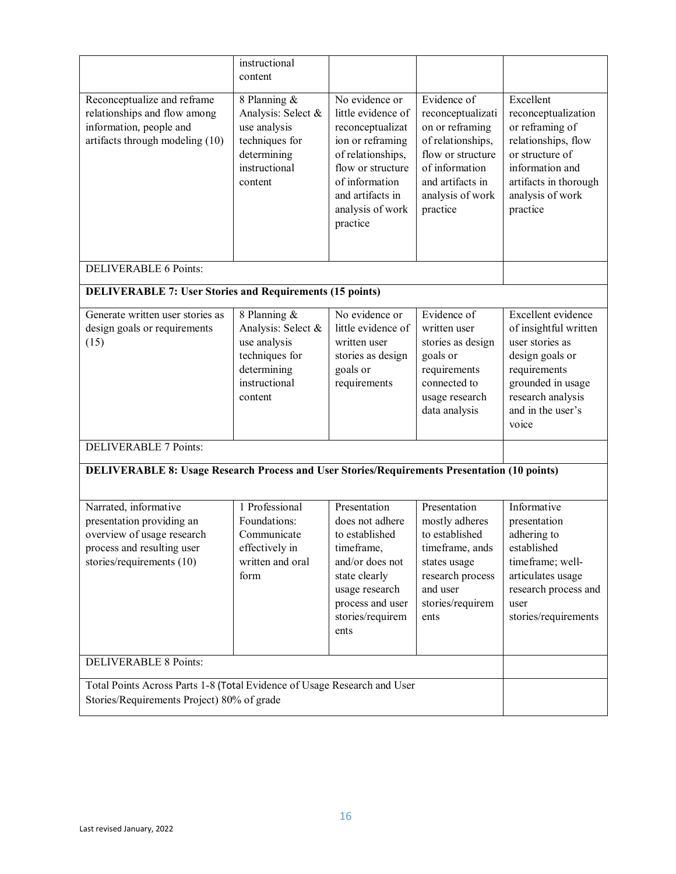|                                                                                                                                               | instructional<br>content                                                                                        |                                                                                                                                                                                              |                                                                                                                                                                     |                                                                                                                                                                           |
|-----------------------------------------------------------------------------------------------------------------------------------------------|-----------------------------------------------------------------------------------------------------------------|----------------------------------------------------------------------------------------------------------------------------------------------------------------------------------------------|---------------------------------------------------------------------------------------------------------------------------------------------------------------------|---------------------------------------------------------------------------------------------------------------------------------------------------------------------------|
| Reconceptualize and reframe<br>relationships and flow among<br>information, people and<br>artifacts through modeling (10)                     | 8 Planning &<br>Analysis: Select &<br>use analysis<br>techniques for<br>determining<br>instructional<br>content | No evidence or<br>little evidence of<br>reconceptualizat<br>ion or reframing<br>of relationships,<br>flow or structure<br>of information<br>and artifacts in<br>analysis of work<br>practice | Evidence of<br>reconceptualizati<br>on or reframing<br>of relationships,<br>flow or structure<br>of information<br>and artifacts in<br>analysis of work<br>practice | Excellent<br>reconceptualization<br>or reframing of<br>relationships, flow<br>or structure of<br>information and<br>artifacts in thorough<br>analysis of work<br>practice |
| <b>DELIVERABLE 6 Points:</b>                                                                                                                  |                                                                                                                 |                                                                                                                                                                                              |                                                                                                                                                                     |                                                                                                                                                                           |
| <b>DELIVERABLE 7: User Stories and Requirements (15 points)</b>                                                                               |                                                                                                                 |                                                                                                                                                                                              |                                                                                                                                                                     |                                                                                                                                                                           |
| Generate written user stories as<br>design goals or requirements<br>(15)                                                                      | 8 Planning &<br>Analysis: Select &<br>use analysis<br>techniques for<br>determining<br>instructional<br>content | No evidence or<br>little evidence of<br>written user<br>stories as design<br>goals or<br>requirements                                                                                        | Evidence of<br>written user<br>stories as design<br>goals or<br>requirements<br>connected to<br>usage research<br>data analysis                                     | Excellent evidence<br>of insightful written<br>user stories as<br>design goals or<br>requirements<br>grounded in usage<br>research analysis<br>and in the user's<br>voice |
| <b>DELIVERABLE 7 Points:</b><br><b>DELIVERABLE 8: Usage Research Process and User Stories/Requirements Presentation (10 points)</b>           |                                                                                                                 |                                                                                                                                                                                              |                                                                                                                                                                     |                                                                                                                                                                           |
|                                                                                                                                               |                                                                                                                 |                                                                                                                                                                                              |                                                                                                                                                                     |                                                                                                                                                                           |
| Narrated, informative<br>presentation providing an<br>overview of usage research<br>process and resulting user<br>stories/requirements $(10)$ | 1 Professional<br>Foundations:<br>Communicate<br>effectively in<br>written and oral<br>form                     | Presentation<br>does not adhere<br>to established<br>timeframe,<br>and/or does not<br>state clearly<br>usage research<br>process and user<br>stories/requirem<br>ents                        | Presentation<br>mostly adheres<br>to established<br>timeframe, ands<br>states usage<br>research process<br>and user<br>stories/requirem<br>ents                     | Informative<br>presentation<br>adhering to<br>established<br>timeframe; well-<br>articulates usage<br>research process and<br>user<br>stories/requirements                |
| <b>DELIVERABLE 8 Points:</b>                                                                                                                  |                                                                                                                 |                                                                                                                                                                                              |                                                                                                                                                                     |                                                                                                                                                                           |
| Total Points Across Parts 1-8 (Total Evidence of Usage Research and User<br>Stories/Requirements Project) 80% of grade                        |                                                                                                                 |                                                                                                                                                                                              |                                                                                                                                                                     |                                                                                                                                                                           |